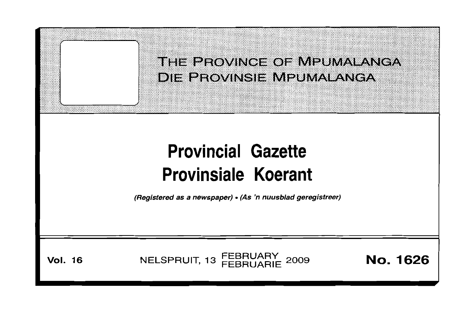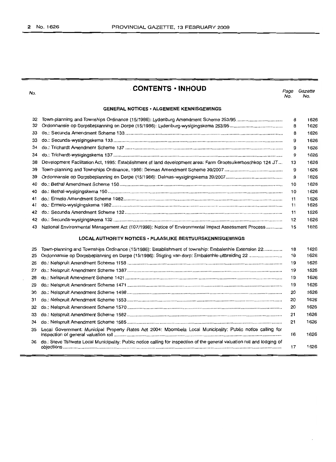No.

# **CONTENTS • INHOUD**

Page Gazette No. No.

# **GENERAL NOTICES' ALGEMENE KENNISGEWINGS**

| 32 |                                                                                                             | 8  | 1626 |
|----|-------------------------------------------------------------------------------------------------------------|----|------|
| 32 |                                                                                                             | 8  | 1626 |
| 33 |                                                                                                             | 8  | 1626 |
| 33 |                                                                                                             | 9  | 1626 |
| 34 |                                                                                                             | 9  | 1626 |
| 34 |                                                                                                             | 9  | 1626 |
| 38 | Development Facilitation Act, 1995: Establishment of land development area: Farm Grootsuikerboschkop 124 JT | 13 | 1626 |
| 39 |                                                                                                             | 9  | 1626 |
| 39 |                                                                                                             | 9  | 1626 |
| 40 |                                                                                                             | 10 | 1626 |
| 40 |                                                                                                             | 10 | 1626 |
| 41 |                                                                                                             | 11 | 1626 |
| 41 |                                                                                                             | 11 | 1626 |
| 42 |                                                                                                             | 11 | 1626 |
| 42 |                                                                                                             | 12 | 1626 |
| 43 | National Environmental Management Act (107/1998): Notice of Environmental Impact Assessment Process         | 15 | 1626 |

# **LOCAL AUTHORITY NOTICES' PLAASLIKE BESTUURSKENNISGEWINGS**

| 25 | Town-planning and Townships Ordinance (15/1986): Establishment of township: Embalenhle Extension 22                         | 18 | 1626 |
|----|-----------------------------------------------------------------------------------------------------------------------------|----|------|
| 25 |                                                                                                                             | 18 | 1626 |
| 26 |                                                                                                                             | 19 | 1626 |
| 27 |                                                                                                                             | 19 | 1626 |
| 28 |                                                                                                                             | 19 | 1626 |
| 29 |                                                                                                                             | 19 | 1626 |
| 30 |                                                                                                                             | 20 | 1626 |
| 31 |                                                                                                                             | 20 | 1626 |
| 32 |                                                                                                                             | 20 | 1626 |
| 33 |                                                                                                                             | 21 | 1626 |
| 34 |                                                                                                                             | 21 | 1626 |
| 35 | Local Government: Municipal Property Rates Act 2004: Mbombela Local Municipality: Public notice calling for                 | 16 | 1626 |
|    | 36 do.: Steve Tshwete Local Municipality: Public notice calling for inspection of the general valuation roll and lodging of | 17 | 1626 |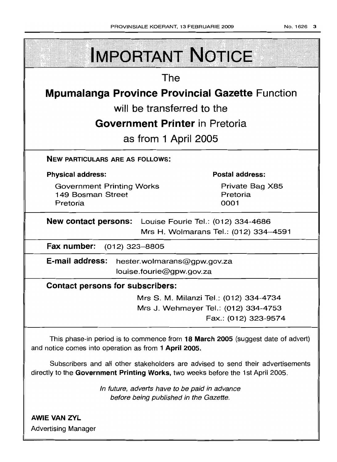| <b>IMPORTANT NOTICE</b>                                                                                                                                            |                                                              |  |  |
|--------------------------------------------------------------------------------------------------------------------------------------------------------------------|--------------------------------------------------------------|--|--|
| The                                                                                                                                                                |                                                              |  |  |
| <b>Mpumalanga Province Provincial Gazette Function</b>                                                                                                             |                                                              |  |  |
| will be transferred to the                                                                                                                                         |                                                              |  |  |
| <b>Government Printer</b> in Pretoria                                                                                                                              |                                                              |  |  |
| as from 1 April 2005                                                                                                                                               |                                                              |  |  |
| <b>NEW PARTICULARS ARE AS FOLLOWS:</b>                                                                                                                             |                                                              |  |  |
| <b>Physical address:</b>                                                                                                                                           | <b>Postal address:</b>                                       |  |  |
| <b>Government Printing Works</b><br>149 Bosman Street<br>Pretoria                                                                                                  | Private Bag X85<br>Pretoria<br>0001                          |  |  |
| <b>New contact persons:</b> Louise Fourie Tel.: (012) 334-4686<br>Mrs H. Wolmarans Tel.: (012) 334-4591                                                            |                                                              |  |  |
| Fax number: (012) 323-8805                                                                                                                                         |                                                              |  |  |
| E-mail address: hester.wolmarans@gpw.gov.za<br>louise.fourie@gpw.gov.za                                                                                            |                                                              |  |  |
| <b>Contact persons for subscribers:</b>                                                                                                                            |                                                              |  |  |
|                                                                                                                                                                    | Mrs S. M. Milanzi Tel.: (012) 334-4734                       |  |  |
|                                                                                                                                                                    | Mrs J. Wehmeyer Tel.: (012) 334-4753<br>Fax.: (012) 323-9574 |  |  |
| This phase-in period is to commence from 18 March 2005 (suggest date of advert)<br>and notice comes into operation as from 1 April 2005.                           |                                                              |  |  |
| Subscribers and all other stakeholders are advised to send their advertisements<br>directly to the Government Printing Works, two weeks before the 1st April 2005. |                                                              |  |  |
| In future, adverts have to be paid in advance<br>before being published in the Gazette.                                                                            |                                                              |  |  |
| <b>AWIE VAN ZYL</b><br><b>Advertising Manager</b>                                                                                                                  |                                                              |  |  |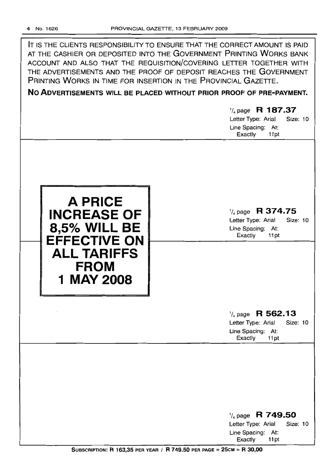|                                                                                                                                       | IT IS THE CLIENTS RESPONSIBILITY TO ENSURE THAT THE CORRECT AMOUNT IS PAID<br>AT THE CASHIER OR DEPOSITED INTO THE GOVERNMENT PRINTING WORKS BANK<br>ACCOUNT AND ALSO THAT THE REQUISITION/COVERING LETTER TOGETHER WITH<br>THE ADVERTISEMENTS AND THE PROOF OF DEPOSIT REACHES THE GOVERNMENT<br>PRINTING WORKS IN TIME FOR INSERTION IN THE PROVINCIAL GAZETTE.<br>NO ADVERTISEMENTS WILL BE PLACED WITHOUT PRIOR PROOF OF PRE-PAYMENT.<br>$\frac{1}{4}$ page R 187.37<br>Letter Type: Arial<br><b>Size: 10</b><br>Line Spacing: At:<br>Exactly<br>11pt |
|---------------------------------------------------------------------------------------------------------------------------------------|-----------------------------------------------------------------------------------------------------------------------------------------------------------------------------------------------------------------------------------------------------------------------------------------------------------------------------------------------------------------------------------------------------------------------------------------------------------------------------------------------------------------------------------------------------------|
| <b>A PRICE</b><br><b>INCREASE OF</b><br><b>8,5% WILL BE</b><br><b>EFFECTIVE ON</b><br><b>ALL TARIFFS</b><br><b>FROM</b><br>1 MAY 2008 | $\frac{1}{4}$ page R 374.75<br>Letter Type: Arial<br><b>Size: 10</b><br>Line Spacing: At:<br>Exactly<br>11pt                                                                                                                                                                                                                                                                                                                                                                                                                                              |
|                                                                                                                                       | $\frac{1}{4}$ page R 562.13<br>Letter Type: Arial<br><b>Size: 10</b><br>Line Spacing: At:<br>Exactly<br>11pt                                                                                                                                                                                                                                                                                                                                                                                                                                              |
|                                                                                                                                       | $\frac{1}{4}$ page R 749.50<br>Letter Type: Arial<br>Size: 10<br>Line Spacing: At:<br>Exactly<br>11pt                                                                                                                                                                                                                                                                                                                                                                                                                                                     |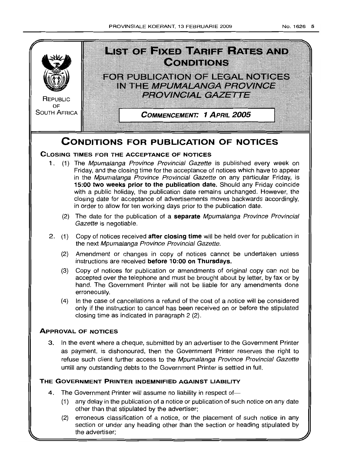

- (2) The date for the publication of a **separate** Mpumalanga Province Provincial Gazette is negotiable.
- 2. (1) Copy of notices received **after closing time** will be held over for publication in the next Mpumalanga Province Provincial Gazette.
	- (2) Amendment or changes in copy of notices cannot be undertaken unless instructions are received **before 10:00 on Thursdays.**
	- (3) Copy of notices for publication or amendments of original copy can not be accepted over the telephone and must be brought about by letter, by fax or by hand. The Government Printer will not be liable for any amendments done erroneously.
	- (4) In the case of cancellations a refund of the cost of a notice will be considered only if the instruction to cancel has been received on or before the stipulated closing time as indicated in paragraph 2 (2).

# **ApPROVAL OF NOTICES**

3. In the event where a cheque, submitted by an advertiser to the Government Printer as payment, is dishonoured, then the Government Printer reserves the right to refuse such client further access to the Mpumalanga Province Provincial Gazette untill any outstanding debts to the Government Printer is settled in full.

# **THE GOVERNMENT PRINTER INDEMNIFIED AGAINST LIABILITY**

- 4. The Government Printer will assume no liability in respect of-
	- (1) any delay in the publication of a notice or publication of such notice on any date other than that stipulated by the advertiser;
	- (2) erroneous classification of a notice, or the placement of such notice in any section or under any heading other than the section or heading stipulated by the advertiser;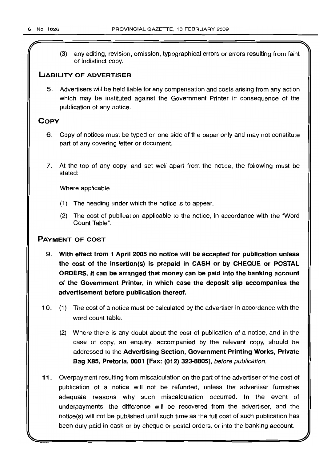(3) any editing, revision, omission, typographical errors or errors resulting from faint or indistinct copy.

# **LIABILITY OF ADVERTISER**

5. Advertisers will be held liable for any compensation and costs arising from any action which may be instituted against the Government Printer in consequence of the publication of any notice.

# **COpy**

- 6. Copy of notices must be typed on one side of the paper only and may not constitute part of any covering letter or document.
- 7. At the top of any copy, and set well apart from the notice, the following must be stated:

Where applicable

- (1) The heading under which the notice is to appear.
- (2) The cost of publication applicable to the notice, in accordance with the "Word Count Table".

# **PAYMENT OF COST**

- 9. **With effect from 1 April 2005 no notice will be accepted for publication unless the cost of the insertion(s) is prepaid in CASH or by CHEQUE or POSTAL ORDERS. It can be arranged that money can be paid into the banking account of the Government Printer, in which case the deposit slip accompanies the advertisement before publication thereof.**
- 10. (1) The cost of a notice must be calculated by the advertiser in accordance with the word count table.
	- (2) Where there is any doubt about the cost of publication of a notice, and in the case of copy, an enquiry, accompanied by the relevant copy, should be addressed to the **Advertising Section, Government Printing Works, Private Bag** X85, **Pretoria, 0001 [Fax: (012) 323-8805],** before publication.
- **11.** Overpayment resulting from miscalculation on the part of the advertiser of the cost of publication of a notice will not be refunded, unless the advertiser furnishes adequate reasons why such miscalculation occurred. In the event of underpayments, the difference will be recovered from the advertiser, and the notice(s) will not be published until such time as the full cost of such publication has been duly paid in cash or by cheque or postal orders, or into the banking account.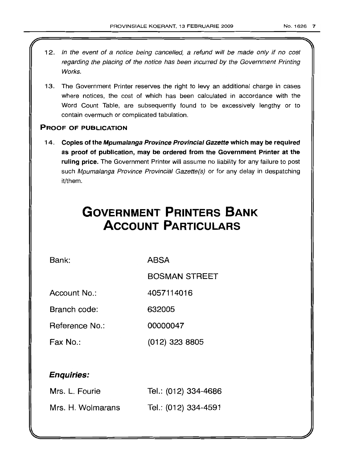II

- 1 2. In the event of a notice being cancelled, a refund will be made only if no cost regarding the placing of the notice has been incurred by the Government Printing Works.
- 13. The Government Printer reserves the right to levy an additional charge in cases where notices, the cost of which has been calculated in accordance with the Word Count Table, are subsequently found to be excessively lengthy or to contain overmuch or complicated tabulation.

# PROOF OF PUBLICATION

14. Copies of the Mpumalanga Province Provincial Gazette which may be required as proof of publication, may be ordered from the Government Printer at the ruling price. The Government Printer will assume no liability for any failure to post such Mpumalanga Province Provincial Gazette(s) or for any delay in despatching it/them.

# **GOVERNMENT PRINTERS BANK ACCOUNT PARTICULARS**

Bank: ABSA

BOSMAN STREET

Account No.: 4057114016

Branch code: 632005

Reference No.: 00000047

Fax No.: (012) 323 8805

# Enquiries:

| Mrs. L. Fourie    | Tel.: (012) 334-4686 |
|-------------------|----------------------|
| Mrs. H. Wolmarans | Tel.: (012) 334-4591 |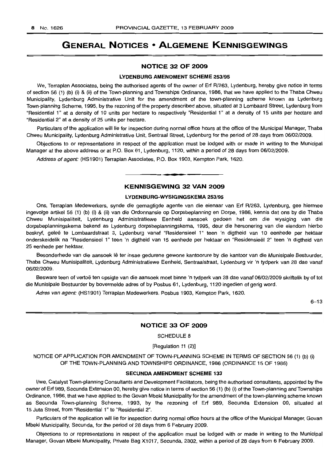# **GENERAL NOTICES • ALGEMENE KENNISGEWINGS**

# **NOTICE 32 OF 2009**

### **LYDENBURG AMENDMENT SCHEME** 253/95

We, Terraplan Associates, being the authorised agents of the owner of Erf R/263, Lydenburg, hereby give notice in terms of section 56 (1) (b) (i) & (ii) of the Town-planning and Townships Ordinance, 1986, that we have applied to the Thaba Chweu Municipality, Lydenburg Administrative Unit for the amendment of the town-planning scheme known as Lydenburg Town-planning Scheme, 1995, by the rezoning of the property described above, situated at 3 Lombaard Street, Lydenburg from "Residential 1" at a density of 10 units per hectare to respectively "Residential 1" at a density of 15 units per hectare and "Residential 2" at a density of 25 units per hectare.

Particulars of the application will lie for inspection during normal office hours at the office of the Municipal Manager, Thaba Chweu Municipality, Lydenburg Administrative Unit, Sentraal Street, Lydenburg for the period of 28 days from 06/02/2009.

Objections to or representations in respect of the application must be lodged with or made in writing to the Municipal Manager at the above address or at P.O. Box 61, Lydenburg, 1120, within a period of 28 days from 06/02/2009.

Address of agent: (HS1901) Terraplan Associates, P.O. Box 1903, Kempton Park, 1620.

# **KENNISGEWING 32 VAN 2009**

**• •**

# **LYDENBURG-WYSIGINGSKEMA** 253/95

Ons, Terraplan Medewerkers, synde die gemagtigde agente van die eienaar van Erf R/263, Lydenburg, gee hiermee ingevolge artikel 56 (1) (b) (i) & (ii) van die Ordonnansie op Dorpsbeplanning en Dorpe, 1986, kennis dat ons by die Thaba Chweu Munisipaliteit, Lydenburg Administratiewe Eenheid aansoek gedoen het om die wysiging van die dorpsbeplanningskema bekend as Lydenburg dorpsbeplanningskema, 1995, deur die hersonering van die eiendom hierbo beskryf, geleë te Lombaardstraat 3, Lydenburg vanaf "Residensieel 1" teen 'n digtheid van 10 eenhede per hektaar onderskeidelik na "Residensieel 1" teen 'n digtheid van 15 eenhede per hektaar en "Residensleel 2" teen 'n digtheid van 25 eenhede per hektaar.

Besonderhede van die aansoek lê ter insae gedurene gewone kantoorure by die kantoor van die Munisipale Bestuurder, Thaba Chweu Munisipaliteit, Lydenburg Administratiewe Eenheid, Sentraalstraat, Lydenburg vir 'n tydperk van 28 dae vanaf 06/02/2009.

Besware teen of vertoë ten opsigte van die aansoek moet binne 'n tydperk van 28 dae vanaf 06/02/2009 skriftelik by of tot die Munisipale Bestuurder by bovermelde adres of by Posbus 61, Lydenburg, 1120 ingedien of gerig word.

Adres van agent: (HS1901) Terraplan Medewerkers, Posbus 1903, Kempton Park, 1620.

 $6 - 13$ 

# **NOTICE 33 OF 2009**

SCHEDULE 8

# [Regulation 11 (2)]

NOTICE OF APPLICATION FOR AMENDMENT OF TOWN-PLANNING SCHEME IN TERMS OF SECTION 56 (1) (b) (i) OF THE TOWN-PLANNING AND TOWNSHIPS ORDINANCE, 1986 (ORDINANCE 15 OF 1986)

# SECUNDA AMENDMENT **SCHEME 133**

I/we, Catalyst Town-planning Consultants and Development Facilitators, being the authorised consultants, appointed by the owner of Erf 989, Secunda Extension 00, hereby give notice in terms of section 56 (1) (b) (i) of the Town-planning and Townships Ordinance, 1986, that we have applied to the Govan Mbeki Municipality for the amendment of the town-planning scheme known as Secunda Town-planning Scheme, 1993, by the rezoning of Erf 989, Secunda Extension 00, situated at 15 Juta Street, from "Residential 1" to "Residential 2".

Particulars of the application will lie for inspection during normal office hours at the office of the Municipal Manager, Govan Mbeki Municipality, Secunda, for the period of 28 days from 6 February 2009.

Objections to or representations in respect of the application must be lodged with or made in writing to the Municipal Manager, Govan Mbeki Municipality, Private Bag X1017, Secunda, 2302, within a period of 28 days from 6 February 2009.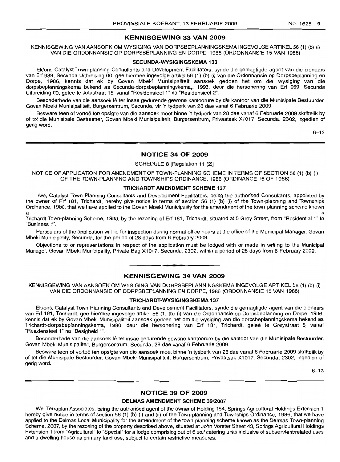# **KENNISGEWING 33 VAN 2009**

KENNISGEWING VAN AANSOEK OM WYSIGING VAN DORPSBEPLANNINGSKEMA INGEVOLGE ARTIKEL 56 (1) (b) (i) VAN DIE ORDONNANSIE OP DORPSBEPLANNING EN DORPE, 1986 (ORDONNANSIE 15 VAN 1986)

# **SECUNDA·WYSIGINGSKEMA** 133

Ek/ons Catalyst Town-planning Consultants and Development Facilitators, synde die gemagtigde agent van die eienaars van Erf 989, Secunda Uitbreiding 00, gee hiermee ingevolge artikel 56 (1) (b) (i) van die Ordonnansie op Dorpsbeplanning en Dorpe, 1986, kennis dat ek by Govan Mbeki Munisipaliteit aansoek gedoen het om die wysiging van die dorpsbeplanningskema bekend as Secunda-dorpsbeplanninqskerna., 1993, deur die hersonering van Erf 989, Secunda Uitbreiding 00, gelee te Jutastraat 15, vanaf "ResidensieeI1" na "Residensieel 2".

Besonderhede van die aansoek lê ter insae gedurende gewone kantoorure by die kantoor van die Munisipale Bestuurder, Govan Mbeki Munisipaliteit, Burgersentrum, Secunda, vir 'n tydperk van 28 dae vanaf 6 Februarie 2009.

Besware teen of vertoë ten opsigte van die aansoek moet binne 'n tydperk van 28 dae vanaf 6 Februarie 2009 skriftelik by of tot die Munisipale Bestuurder, Govan Mbeki Munisipaliteit, Burgersentrum, Privaatsak X1017, Secunda, 2302, ingedien of gerig word.

6-13

# **NOTICE 34 OF 2009**

# SCHEDULE 8 [Regulation 11 (2)]

NOTICE OF APPLICATION FOR AMENDMENT OF TOWN-PLANNING SCHEME IN TERMS OF SECTION 56 (1) (b) (i) OF THE TOWN-PLANNING AND TOWNSHIPS ORDINANCE, 1986 (ORDINANCE 15 OF 1986)

# **TRICHARDT AMENDMENT SCHEME** 137

I/we, Catalyst Town Planning Consultants and Development Facilitators, being the authorised Consultants, appointed by the owner of Erf 181, Trichardt, hereby give notice in terms of section 56 (1) (b) (i) of the Town-planning and Townships Ordinance, 1986, that we have applied to the Govan Mbeki Municipality for the amendment of the town-planning scheme known a service and the service of the service of the service of the service of the service of the service of the service of the service of the service of the service of the service of the service of the service of the service o

Trichardt Town-planning Scheme, 1980, by the rezoning of Erf 181, Trichardt, situated at 5 Grey Street, from "Residential 1" to "Business 1".

Particulars of the application will lie for inspection during normal office hours at the office of the Municipal Manager, Govan Mbeki Municipality, Secunda, for the period of 28 days from 6 February 2009.

Objections to or representations in respect of the application must be lodged with or made in writing to the Municipal Manager, Govan Mbeki Municipality, Private Bag X1017, Secunda, 2302, within a period of 28 days from 6 February 2009 .

# **• KENNISGEWING 34 VAN 2009**

KENNISGEWING VAN AANSOEK OM WYSIGING VAN DORPSBEPLANNINGSKEMA INGEVOLGE ARTIKEL 56 (1) (b) (i) VAN DIE ORDONNANSIE OP DORPSBEPLANNING EN DORPE, 1986 (ORDONNANSIE 15 VAN 1986)

# **TRICHARDT-WYSIGINGSKEMA** 137

Ek/ons, Catalyst Town Planning Consultants and Development Facilitators, synde die gemagtigde agent van die eienaars van Erf 181, Trichardt, gee hiermee ingevolge artikel 56 (1) (b) (i) van die Ordonnansie op Dorpsbeplanning en Dorpe, 1986, kennis dat ek by Govan Mbeki Munisipaliteit aansoek gedoen het om die wysiging van die dorpsbeplanningskema bekend as Trichardt-dorpsbeplanningskema, 1980, deur die hersonering van Erf 181, Trichardt, qelee te Greystraat 5, vanaf "Residensieel 1" na "Besigheid 1".

Besonderhede van die aansoek lê ter insae gedurende gewone kantoorure by die kantoor van die Munisipale Bestuurder, Govan Mbeki Munisipaliteit, Burgersentrum, Secunda, 28 dae vanaf 6 Februarie 2009.

Besware teen of vertoë ten opsigte van die aansoek moet binne 'n tydperk van 28 dae vanaf 6 Februarie 2009 skriftelik by of tot die Munisipale Bestuurder, Govan Mbeki Munisipaliteit, Burgersentrum, Privaatsak X1017, Secunda, 2302, ingedien of gerig word.

6-13

# **NOTICE 39 OF 2009**

# **DELMAS AMENDMENT SCHEME** 39/2007

We, Terraplan Associates, being the authorised agent of the owner of Holding 154, Springs Agricultural Holdings Extension 1 hereby give notice in terms of section 56 (1) (b) (i) and (ii) of the Town-planning and Townships Ordinance, 1986, that we have applied to the Delmas Local Municipality for the amendment of the town-planning scheme known as the Delmas Town-planning Scheme, 2007, by the rezoning of the property described above, situated at John Vorster Street 43, Springs Agricultural Holdings Extension 1 from "Agricultural" to "Special" for a lodge comprising out of 6 self catering units inclusive of subservient/related uses and a dwelling house as primary land use, subject to certain restrictive measures.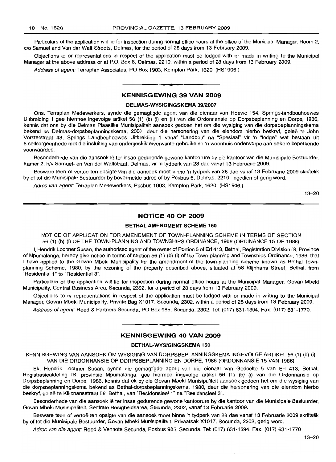Particulars of the application will lie for inspection during normal office hours at the office of the Municipal Manager, Room 2, c/o Samuel and Van der Walt Streets, Delmas, for the period of 28 days from 13 February 2009.

Objections to or representations in respect of the application must be lodged with or made in writing to the Municipal Manager at the above address or at P.O. Box 6, Delmas, 2210, within a period of 28 days from 13 February 2009.

Address of agent: Terraplan Associates, PO Box 1903, Kempton Park, 1620. (HS1906.)

# **KENNISGEWING 39 VAN 2009**

**-.**

### **DELMAS-WYSIGINGSKEMA** 39/2007

Ons, Terraplan Medewerkers, synde die gemagtigde agent van die eienaar van Hoewe 154, Springs-Iandbouhoewes Uitbreiding 1 gee hiermee ingevolge artikel 56 (1) (b) (i) en (ii) van die Ordonnansie op Dorpsbeplanning en Dorpe, 1986, kennis dat ons by die Delmas Plaaslike Munisipaliteit aansoek gedoen het om die wysiging van die dorpsbeplanningskema bekend as Delmas-dorpsbeplanningskema, 2007, deur die hersonering van die eiendom hierbo beskryf, gelee te John Vorsterstraat 43, Springs Landbouhoewes Uitbreiding 1 vanaf "Landbou" na "Spesiaal" vir 'n "lodge" wat bestaan uit 6 selfsorgeenhede met die insluiting van ondergeskikte/verwante gebruike en 'n woonhuis onderworpe aan sekere beperkende voorwaardes.

Besonderhede van die aansoek lê ter insae gedurende gewone kantoorure by die kantoor van die Munisipale Bestuurder, Kamer 2, h/v Samuel- en Van der Waltstraat, Delmas, vir 'n tydperk van 28 dae vanaf 13 Februarie 2009.

Besware teen of vertoë ten opsigte van die aansoek moet binne 'n tydperk van 28 dae vanaf 13 Februarie 2009 skriftelik by of tot die Munisipale Bestuurder by bovermelde adres of by Posbus 6, Delmas, 2210, ingedien of gerig word.

Adres van agent: Terraplan Medewerkers, Posbus 1903, Kempton Park, 1620. (HS1906.)

13-20

# **NOTICE 40 OF 2009**

# **BETHAL AMENDMENT SCHEME 150**

NOTICE OF APPLICATION FOR AMENDMENT OF TOWN-PLANNING SCHEME IN TERMS OF SECTION 56 (1) (b) (i) OF THE TOWN-PLANNING AND TOWNSHIPS ORDINANCE, 1986 (ORDINANCE 15 OF 1986)

I, Hendrik Lochner Susan, the authorised agent of the owner of Portion 5 of Erf 413, Bethal, Registration Division IS, Province of Mpumalanga, hereby give notice in terms of section 56 (1) (b) (i) of the Town-planning and Townships Ordinance, 1986, that I have applied to -the Govan Mbeki Municipality for the amendment of the town-planning scheme known as Bethal Townplanning Scheme, 1980, by the rezoning of the property described above, situated at 58 Klijnhans Street, Bethal, from "Residential 1" to "Residential 3".

Particulars of the application will lie for inspection during normal office hours at the Municipal Manager, Govan Mbeki Municipality, Central Business Area, Secunda, 2302, for a period of 28 days from 13 February 2009.

Objections to or representations in respect of the application must be lodged with or made in writing to the Municipal Manager, Govan Mbeki Municipality, Private Bag X1017, Secunda, 2302, within a period of 28 days from 13 February 2009.

Address of agent: Reed & Partners Secunda, PO Box 985, Secunda, 2302. Tel: (017) 631-1394. Fax: (017) 631-1770.

**• •**

# **KENNISGEWING 40 VAN 2009**

### **BETHAL-WYSIGINGSKEMA 150**

KENNISGEWING VAN AANSOEK OM WYSIGING VAN DORPSBEPLANNINGSKEMA INGEVOLGE ARTIKEL 56 (1) (b) (i) VAN DIE ORDONNANSIE OP DORPSBEPLANNING EN DORPE, 1986 (ORDONNANSIE 15 VAN 1986)

Ek, Hendrik Lochner Susan, synde die gemagtigde agent van die eienaar van Gedeelte 5 van Erf 413, Bethal, Registrasieafdeling IS, provinsie Mpumalanga, gee hiermee ingevolge artikel 56 (1) (b) (i) van die Ordonnansie op Dorpsbeplanning en Dorpe, 1986, kennis dat ek by die Govan Mbeki Munisipaliteit aansoek gedoen het om die wysiging van die dorpsbeplanningskema bekend as Bethal-dorpsbeplanningskema, 1980, deur die hersonering van die eiendom hierbo beskryf, geleë te Klijnhansstraat 58, Bethal, van "Residensieel 1" na "Residensieel 3".

Besonderhede van die aansoek lê ter insae gedurende gewone kantoorure by die kantoor van die Munisipale Bestuurder, Govan Mbeki Munisipaliteit, Sentrale Besigheidsarea, Secunda, 2302, vanaf 13 Februarie 2009.

Besware teen of vertoë ten opsigte van die aansoek moet binne 'n tydperk van 28 dae vanaf 13 Februarie 2009 skriftelik by of tot die Munisipale Bestuurder, Govan Mbeki Munisipaliteit, Privaatsak X1017, Secunda, 2302, gerig word.

Adres van die agent: Reed & Vennote Secunda, Posbus 985, Secunda. Tel: (017) 631-1394. Fax: (017) 631-1770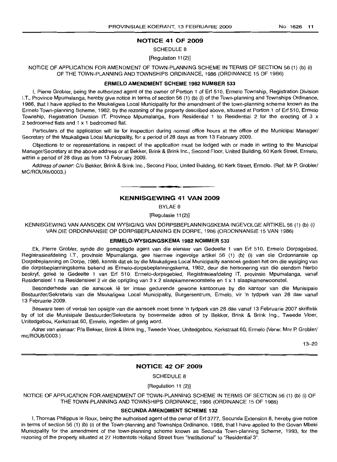# NOTICE 41 OF 2009

#### SCHEDULE 8

#### [Regulation 11(2)]

NOTICE OF APPLICATION FOR AMENDMENT OF TOWN-PLANNING SCHEME IN TERMS OF SECTION 56 (1) (b) (i) OF THE TOWN-PLANNING AND TOWNSHIPS ORDINANCE, 1986 (ORDINANCE 15 OF 1986)

#### ERMELO AMENDMENT SCHEME 1982 NUMBER 533

I, Pierre Grobler, being the authorized agent of the owner of Portion 1 of Erf 510, Ermelo Township, Registration Division I.T., Province Mpumalanga, hereby give notice in terms of section 56 (1) (b) (i) of the Town-planning and Townships Ordinance, 1986, that I have applied to the Msukaligwa Local Municipality for the amendment of the town-planning scheme known as the Ermelo Town-planning Scheme, 1982, by the rezoning of the property described above, situated at Portion 1 of Erf 510, Ermelo Township, Registration Division IT, Province Mpumalanga, from Residential 1 to Residential 2 for the erecting of 3 x 2 bedroomed flats and 1 x 1 bedroomed flat.

Particulars of the application will lie for inspection during normal office hours at the office of the Municipal Manager/ Secretary of the Msukaligwa Local Municipality, for a period of 28 days as from 13 February 2009.

Objections to or representations in respect of the application must be lodged with or made in writing to the Municipal Manager/Secretary at the above address or at Bekker, Brink & Brink Inc., Second Floor, United Building, 60 Kerk Street, Ermelo, within a period of 28 days as from 13 February 2009.

Address of owner: C/o Bekker, Brink & Brink Inc., Second Floor, United Building, 60 Kerk Street, Ermelo. (Ref: Mr P. Grobler/ MC/ROUX6/0003.)

# KENNISGEWING 41 VAN 2009

**-.**

BYLAE 8

[Regulasie 11(2)]

KENNISGEWING VAN AANSOEK OM WYSIGING VAN DORPSBEPLANNINGSKEMA INGEVOLGE ARTIKEL 56 (1) (b) (i) VAN DIE ORDONNANSIE OP DORPSBEPLANNING EN DORPE, 1986 (ORDONNANSIE 15 VAN 1986)

#### ERMELO-WYSIGINGSKEMA 1982 NOMMER 533

Ek, Pierre Grobler, synde die gemagtigde agent van die eienaar van Gedeelte 1 van Erf 510, Ermelo Dorpsgebied, Registrasieafdeling I.T., provinsie Mpumalanga, gee hiermee ingevolge artikel 56 (1) (b) (i) van die Ordonnansie op Dorpsbeplanning en Dorpe, 1986, kennis dat ek by die Msukaligwa Local Municipality aansoek gedoen het om die wysiging van die dorpsbeplanningskema bekend as Ermelo-dorpsbeplanningskema, 1982, deur die hersonering van die eiendom hierbo beskryf, geleë te Gedeelte 1 van Erf 510, Ermelo-dorpsgebied, Registrasieafdeling IT, provinsie Mpumalanga, vanaf Residensieel 1 na Residensieel 2 vir die oprigting van 3 x 2 slaapkamerwoonstelle en 1 x 1 slaapkamerwoonstel.

Besonderhede van die aansoek lê ter insae gedurende gewone kantoorure by die kantoor van die Munisipale Bestuurder/Sekretaris van die Msukaligwa Local Municipality, Burgersentrum, Ermelo, vir 'n tydperk van 28 dae vanaf 13 Februarie 2009.

Besware teen of vertoë ten opsigte van die aansoek moet binne 'n tydperk van 28 dae vanaf 13 Februarie 2007 skriftelik by of tot die Munisipale Bestuurder/Sekretaris by bovermelde adres of by Bekker, Brink & Brink Ing., Tweede Vloer, Unitedgebou, Kerkstraat 60, Ermelo, ingedien of gerig word.

Adres van eienaar: P/a Bekker, Brink & Brink Ing., Tweede Vloer, Unitedgebou, Kerkstraat 60, Ermelo (Verw: Mnr P. Grobler/ mc/ROU6/0003.)

13-20

# NOTICE 42 OF 2009

SCHEDULE 8

[Regulation 11 (2)]

NOTICE OF APPLICATION FOR AMENDMENT OF TOWN-PLANNING SCHEME IN TERMS OF SECTION 56 (1) (b) (i) OF THE TOWN-PLANNING AND TOWNSHIPS ORDINANCE, 1986 (ORDINANCE 15 OF 1986)

# SECUNDA AMENDMENT SCHEME 132

I, Thomas Philippus Ie Roux, being the authorised agent of the owner of Erf 3777, Secunda Extension 8, hereby give notice in terms of section 56 (1) (b) (i) of the Town-planning and Townships Ordinance, 1986, that I have applied to the Govan Mbeki Municipality for the amendment of the town-planning scheme known as Secunda Town-planning Scheme, 1993, for the rezoning of the property situated at 27 Hottentots Holland Street from "Institutional" to "Residential 3",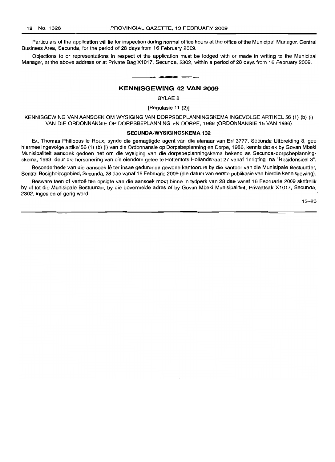Particulars of the application will lie for inspection during normal office hours at the office of the Municipal Manager, Central Business Area, Secunda, for the period of 28 days from 16 February 2009.

Objections to or representations in respect of the application must be lodged with or made in writing to the Municipal Manager, at the above address or at Private Bag X1017, Secunda, 2302, within a period of 28 days from 16 February 2009.

# **KENNISGEWING 42 VAN** 2009

**• •**

# BYLAE 8

[Regulasie 11 (2)]

KENNISGEWING VAN AANSOEK OM WYSIGING VAN DORPSBEPLANNINGSKEMA INGEVOLGE ARTIKEL 56 (1) (b) (i) VAN DIE ORDONNANSIE OP DORPSBEPLANNING EN DORPE, 1986 (ORDONNANSIE 15 VAN 1986)

#### SECUNDA·WVSIGINGSKEMA 132

Ek, Thomas Philippus Ie Roux, synde die gemagtigde agent van die eienaar van Erf 3777, Secunda Uitbreiding 8, gee hiermee ingevolge artikel 56 (1) (b) (i) van die Ordonnansie op Dorpsbeplanning en Dorpe, 1986, kennis dat ek by Govan Mbeki Munisipaliteit aansoek gedoen het om die wysiging van die dorpsbeplanningskema bekend as Secunda-dorpsbeplanningskema, 1993, deur die hersonering van die eiendom gelee te Hottentots Hollandstraat 27 vanaf "Inrigting" na "Residensieel 3".

Besonderhede van die aansoek lê ter insae gedurende gewone kantoorure by die kantoor van die Munisipale Bestuurder, Sentral Besigheidsgebied, Secunda, 28 dae vanaf 16 Februarie 2009 (die datum van eerste publikasie van hierdie kennisgewing).

Besware teen of vertoë ten opsigte van die aansoek moet binne 'n tydperk van 28 dae vanaf 16 Februarie 2009 skriftelik by of tot die Munisipale Bestuurder, by die bovermelde adres of by Govan Mbeki Munisipaliteit, Privaatsak X1017, Secunda, 2302, ingedien of gerig word.

13-20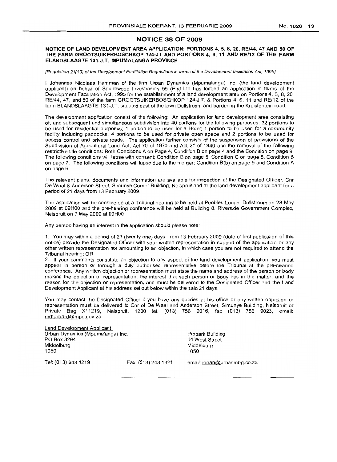# NOTICE 38 OF 2009

# NOTICE OF LAND DEVELOPMENT AREA APPLICATION: PORTIONS 4, 5, 8, 20, RE/44, 47 AND 50 OF THE FARM GROOTSlIlKERBOSCHKOP 124-JT AND PORTIONS 4,6, 11 AND RE/12 OF THE FARM ELANDSLAAGTE 131-J.T. MPUMALANGA PROVINCE

[Regulation 21(10) of the Development Facilitation Regulations in terms of the Development facilitation Act, 1995]

I Johannes Nicolaas Hamman of the firm Urban Dynamics (Mpumalanga) Inc. (the land development applicant) on behalf of Squirewood Investments 55 (Pty) Ltd has lodged an application in terms of the Development Facilitation Act, 1995 for the establishment of a land development area on Portions 4, 5, 8,20, RE/44, 47, and 50 of the farm GROOTSUIKER80SCHKOP 124-J.T. & Portions 4, 6, 11 and RE/12 of the farm ELANDSLAAGTE 131-J.T. situated east of the town Dullstroom and bordering the Kruisfontein road.

The development application consist of the following: An application for land development area consisting of, and subsequent and simultaneous subdivision into 40 portions for the following purposes: 32 portions to be used for residential purposes; 1 portion to be used for a Hotel; 1 portion to be used for a community facility including paddocks; 4 portions to be used for private open space and 2 portions to be used for access control and private roads. The application further consists of the suspension of provisions of the Subdivision of Agricultural Land Act, Act 70 of 1970 and Act 21 of 1940 and the removal of the following restrictive title conditions: Both Conditions A on Page 4, Condition 8 on page 4 and the Condition on page 9. The following conditions will lapse with consent; Condition 8 on page 5, Condition C on page 5, Condition B on page 7. The following conditions will lapse due to the merger; Condition B(b) on page 5 and Condition A on page 6.

The relevant plans, documents and information are available for inspection at the Designated Officer, Cnr De Waal & Anderson Street, Simunye Corner Building, Nelspruit and at the land development applicant for a period of 21 days from 13 February 2009.

The application will be considered at a Tribunal hearing to be held at Peebles Lodge, Dullstroom on 28 May 2009 at 09HOO and the pre-hearing conference will be held at Building 8, Riverside Government Complex, Nelspruit on 7 May 2009 at 09HOO

Any person having an interest in the application should please note:

1. You may within a period of 21 (twenty one) days from 13 February 2009 (date of first publication of this notice) provide the Designated Officer with your written representation in support of the application or any other written representation not amounting to an objection, in which case you are not required to attend the Tribunal hearing; OR

2. If your comments constitute an objection to any aspect of the land development application, you must appear in person or through a duly authorised representative before the Tribunal at the pre-hearing conference. Any written objection or representation must state the name and address of the person or body making the objection or representation, the interest that such person or body has in the matter, and the reason for the objection or representation, and must be delivered to the Designated Officer and the Land Development Applicant at his address set out below within the said 21 days.

You may contact the Designated Officer if you have any queries at his office or any written objection or representation must be delivered to Cnr of De Waal and Anderson Street, Simunye Building, Nelspruit or Private Bag X11219, Nelspruit, 1200 tel. (013) 756 9016, fax (013) 756 9023, email: mdtaljaard@mog.gov.za

Land Development Applicant: Urban Dynamics (Mpumalanga) Inc. PO Box 3294 Middelburg 1050 Propark Building 44 West Street Middelburg 1050 Tel: (013) 243 1219 Fax: (013) 243 1321 email: johan@urbanmbg.co.za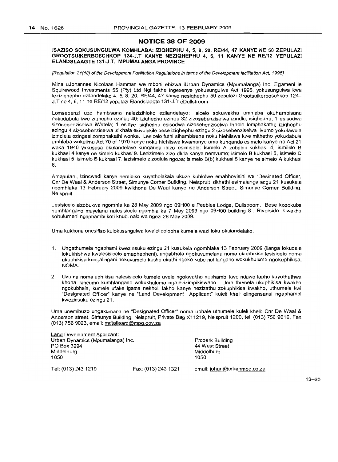# **NOTICE 38 OF 2009**

### ISAZISO SOKUSUNGULWA KOMHLABA: IZIQHEPHU 4, 5, 8, 20, RE/44, 47 KANYE NE 50 ZEPULAZI GROOTSUIKERBOSCHKOP 124-J.T KANYE NEZIQHEPHU 4, 6, 11 KANYE NE RE/12 YEPULAZI ELANDSLAAGTE 131-J.T. MPUMALANGA PROVINCE

[Regulation 21(10) of the Development Facilitation Regulations in terms of the Development facilitation Act, 1995]

Mina uJohannes Nicolaas Hamman we mboni ebizwa iUrban Dynamics (Mpumalanga) Inc. Egameni Ie Squirewood Investments 55 (Pty) Ltd Ngi fakhe ingexenye yokusungulwa Act 1995, yokusungulwa kwa leziziqhephu ezilandelako 4, 5,8,20, RE/44, 47 kanye nesiqhephu 50 zepulazi Grootsuikerboschkop 124- J.T ne 4, 6,11 ne RE/12 yepulazi Elandslaagte 131-J.T eDulistroom.

Lomsebenzi uzo hambisana nalezizihloko ezilandelayo: Isicelo sokuwakha umhlaba okuhambisana nokudabula kwe ziqhephu ezingu 40: iziqhephu ezingu 32 zizosebenziselwa izindlu; isiqhephu, 1 esisodwa sizosebenziselwa iWotela; 1 esinye isiqhephu esisodwa sizosebenziselwa Ihholo lomphakathi; iziqhephu ezingu 4 sizosebenziselwa isikhala esivulekile bese iziqhephu ezinqu 2 sizosebenziselwa ivumo yokulawula izindlela ezlnqasi zomphakathi wonke. Lesicelo futhi sihambisana noku hlehliswa kwe mithetho yokudabula umhlaba wokulima Act 70 of 1970 kanye noku hlehliswa kwamanye ama kunqanda esimelo kanye no Act 21 waka 1940 yokususa okulandelayo kunqanda ibizo esimiselo: Isimelo A zobabili kukhasi 4, ismilelo B kukhasi 4 kanye ne simelo kukhasi 9. Lezizimelo zizo dlula kanye nemvumo; isimelo B kukhasi 5, isimelo C kukhasi 5, isimelo B kukhasi 7. lezisimelo zizodlula ngoba; isimelo B(b) kukhasi 5 kanye ne simelo A kukhasi 6.

Amapulani, Izincwadi kanye nemibiko kuyatholakala ukuze kuhlolwe emahhovisini we "Desinated Officer, Cnr De Waal & Anderson Street, Simunye Corner Building, Nelspruit isikhathi esimalanga angu 21 kusukela ngomhlaka 13 February 2009 kwikhona De Waal kanye ne Anderson Street. Simunye Corner Building, Nelspruit.

Lesisicelo sizobukwa ngomhla ka 28 May 2009 ngo 09HOO e Peebles Lodge, Dullstroom. Bese kozokuba nomhlangano mayelana nalesisicelo ngomhla ka 7 May 2009 ngo 09HOO building 8 , Riverside isiwakho sohulumeni ngaphambi koti khubi nalo wa ngezi 28 May 2009.

Uma kukhona onesifiso kulokusungulwa kwalelidolobha kumele wazi loku okulandelako.

- 1. Ungathumela ngaphami kwezinsuku ezingu 21 kusukela ngomhlaka 13 February 2009 (i1anga lokuqala lokukhishwa kwalesisicelo emaphepheni), ungabhala ngokuvumelana noma ukuphikisa lesisicelo noma ukuphikisa kungalingani nokuvumela kusho ukuthi ngeke kube nohlangano wokukhuluma ngokuphikisa, NOMA.
- 2. Uvuma noma uphikisa nalesisicelo kumele uvele ngokwakho ngphambi kwe ndawo lapho kuyothathwa khona isinqumo kumhlangano wokukhuluma ngalezizimpikiswano. Uma thumela ukuphikisa kwakho ngokubhala, kumele ufake igama nekheli lakho kanye nezizathu zokuphikisa kwakho, uthumele kwi "Designated Officer" kanye ne "Land Development Applicant" kuleli kheli elingensansi ngaphambi kwezinsuku ezingu 21.

Uma unemibuzo ungaxumana ne "Designated Officer" noma ubhale uthumele kuleli kheli: Cnr De Waal & Anderson street, Simunye Building, Nelspruit, Private Bag X11219, Nelspruit 1200, tel. (013) 756 9016, Fax (013) 756 9023, email: mdtaliaard@mpg.gov.za

| Land Development Applicant:      |                     |                             |
|----------------------------------|---------------------|-----------------------------|
| Urban Dynamics (Mpumalanga) Inc. |                     | Propark Building            |
| PO Box 3294                      |                     | 44 West Street              |
| Middelburg                       |                     | Middelburg                  |
| 1050                             |                     | 1050                        |
| Tel: (013) 243 1219              | Fax: (013) 243 1321 | email: johan@urbanmbg.co.za |

13-20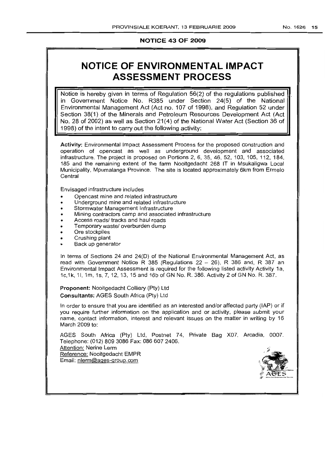# **NOTICE 43 OF 2009**

# **NOTICE OF ENVIRONMENTAL IMPACT** ASSESSMENT PROCESS

Notice is hereby given in terms of Regulation 56(2) of the regulations published in Government Notice No. R385 under Section 24(5) of the National Environmental Management Act (Act no. 107 of 1998), and Regulation 52 under Section 38(1) of the Minerals and Petroleum Resources Development Act (Act No. 28 of 2002) as well as Section 21 (4) of the National Water Act (Section 36 of 1998) of the intent to carry out the following activity:

Activity: Environmental Impact Assessment Process for the proposed construction and operation of opencast as well as underground development and associated infrastructure. The project is proposed on Portions 2, 6, 35, 46, 52, 103, 105, 112, 184, 185 and the remaining extent of the farm Nooitgedacht 268 IT in Msukaligwa Local Municipality, Mpumalanga Province. The site is located approximately 6km from Ermelo **Central** 

Envisaged infrastructure includes

- Opencast mine and related infrastructure
- Underground mine and related infrastructure
- Stormwater Management Infrastructure
- Mining contractors camp and associated infrastructure
- Access roads/ tracks and haul roads
- Temporary waste/ overburden dump
- Ore stockpiles
- Crushing plant
- Back up generator

In terms of Sections 24 and 24(D) of the National Environmental Management Act, as read with Government Notice R 385 (Regulations  $22 - 26$ ), R 386 and, R 387 an Environmental Impact Assessment is required for the following listed activity Activity 1a, 1c,1k, 11, 1m, 1s, 7, 12, 13, 15 and 16b of GN No. R. 386. Activity 2 of GN No. R. 387.

Proponent: Nooitgedacht Colliery (Pty) Ltd Consultants: AGES South Africa (Pty) Ltd

In order to ensure that you are identified as an interested and/or affected party (lAP) or if you require further information on the application and or activity, please submit your name, contact information, interest and relevant issues on the matter in writing by 16 March 2009 to:

AGES South Africa (Pty) Ltd, Postnet 74, Private Bag X07, Arcadia, 0007. Telephone: (012) 809 3086 Fax: 0866072406. Attention: Nerine Lerm Reference: Nooitgedacht EMPR Email: nlerm@ages-group.com

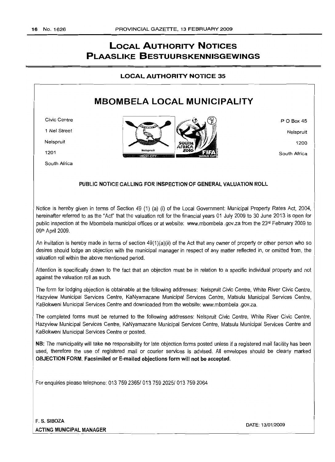# **LOCAL AUTHORITY NOTICES PLAASLIKE BESTUURSKENNISGEWINGS**

**LOCAL AUTHORITY NOTICE 35**

# **MBOMBELA LOCAL MUNICIPALITY**

Civic Centre

1 Nel Street

Nelspruit

1201

South Africa



P O Box 45 Nelspruit 1200 South Africa

# PUBLIC NOTICE CALLING FOR INSPECTION OF GENERAL VALUATION ROLL

Notice is hereby given in terms of Section 49 (1) (a) (I) of the Local Government: Municipal Property Rates Act, 2004, hereinafter referred to as the "Act" that the valuation roll for the financial years 01 July 2009 to 30 June 2013 is open for public inspection at the Mbombela municipal offices or at website: www.mbombela .gov.za from the 23<sup>rd</sup> February 2009 to 09th April 2009.

An invitation is hereby made in terms of section  $49(1)(a)(ii)$  of the Act that any owner of property or other person who so desires should lodge an objection with the municipal manager in respect of any matter reflected in, or omitted from, the valuation roll within the above mentioned period.

Attention is specifically drawn to the fact that an objection must be in relation to a specific individual property and not against the valuation roll as such.

The form for lodging objection is obtainable at the following addresses: Nelspruit Civic Centre, White River Civic Centre, Hazyview Municipal Services Centre, KaNyamazane Municipal Services Centre, Matsulu Municipal Services Centre, KaBokweni Municipal Services Centre and downloaded from the website: www.mbombela.gov.za.

The completed forms must be returned to the following addresses: Nelspruit Civic Centre, White River Civic Centre, Hazyview Municipal Services Centre, KaNyamazane Municipal Services Centre, Matsulu Municipal Services Centre and KaBokweni Municipal Services Centre or posted.

NB: The municipality will take no responsibility for late objection forms posted unless if a registered mail facility has been used, therefore the use of registered mail or courier services is advised. All envelopes should be clearly marked OBJECTION FORM. Facsimiled or E-mailed objections form will not be accepted.

For enquiries please telephone: 013 759 2365/ 013 759 2025/ 013 759 2064

F. S. SIBOZA ACTING MUNICIPAL MANAGER

DATE: 13/01/2009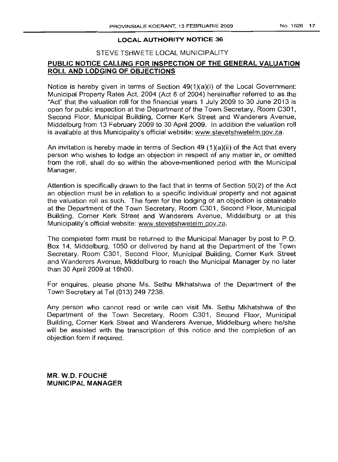# STEVE TSHWETE LOCAL MUNICIPALITY

# **PUBLIC NOTICE CALLING FOR INSPECTION OF THE GENERAL VALUATION ROLL AND LODGING OF OBJECTIONS**

Notice is hereby given in terms of Section 49(1 )(a)(i) of the Local Government: Municipal Property Rates Act, 2004 (Act 6 of 2004) hereinafter referred to as the "Act" that the valuation roll for the financial years 1 July 2009 to 30 June 2013 is open for public inspection at the Department of the Town Secretary, Room C301, Second Floor, Municipal Building, Corner Kerk Street and Wanderers Avenue, Middelburg from 13 February 2009 to 30 April 2009. In addition the valuation roll is available at this Municipality's official website: www.stevetshwetelm.gov.za.

An invitation is hereby made in terms of Section 49  $(1)(a)(ii)$  of the Act that every person who wishes to lodge an objection in respect of any matter in, or omitted from the roll, shall do so within the above-mentioned period with the Municipal Manager.

Attention is specifically drawn to the fact that in terms of Section 50(2) of the Act an objection must be in relation to a specific individual property and not against the valuation roll as such. The form for the lodging of an objection is obtainable at the Department of the Town Secretary, Room C301, Second Floor, Municipal BUilding, Corner Kerk Street and Wanderers Avenue, Middelburg or at this Municipality's official website: www.stevetshwetelm.gov.za.

The completed form must be returned to the Municipal Manager by post to P.O. Box 14, Middelburg, 1050 or delivered by hand at the Department of the Town Secretary, Room C301, Second Floor, Municipal Building, Corner Kerk Street and Wanderers Avenue, Middelburg to reach the Municipal Manager by no later than 30 April 2009 at 16hOO.

For enquires, please phone Ms. Sethu Mkhatshwa of the Department of the Town Secretary at Tel (013) 249 7238.

Any person who cannot read or write can visit Ms. Sethu Mkhatshwa of the Department of the Town Secretary, Room C301, Second Floor, Municipal Building, Corner Kerk Street and Wanderers Avenue, Middelburg where he/she will be assisted with the transcription of this notice and the completion of an objection form if required.

**MR.** W.O. **FOUCHE MUNICIPAL MANAGER**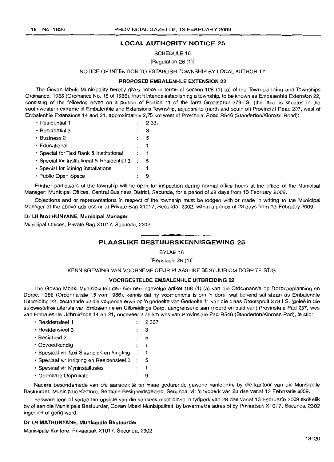SCHEDULE 16

[Regulation 26 (1)]

# NOTICE OF INTENTION TO ESTABLISH TOWNSHIP BY LOCAL AUTHORITY

# **PROPOSED EMBALENHLE EXTENSION 22**

The Govan Mbeki Municipality hereby gives notice in terms of section 108 (1) (a) of the Town-planning and Townships Ordinance, 1986 (Ordinance No. 15 of 1986), that it intends establishing a township, to be known as Embalenhle Extension 22, consistng of the following erven on a portion of Portion 11 of the farm Grootspruit 279-I.S. (the land is situated in the south-western extreme of Embalenhle and Extensions Township, adjacent to (north and south of) Provincial Road 237, west of Embalenhle Extensions 14 and 21, approximately 2,75 km west of Provincial Road R546 (Standerton/Kinross Road):

| · Residential 1                             | 2 3 3 7      |
|---------------------------------------------|--------------|
| • Residential 3                             | з            |
| • Business 2                                | 5            |
| • Educational                               | $\mathbf{1}$ |
| • Special for Taxi Rank & Institutional     | $\mathbf{1}$ |
| · Special for Institutional & Residential 3 | 5            |
| · Special for Mining Installations          | 1            |
| • Public Open Space                         | g            |

Further particulars of the township will lie open for inspection during normal office hours at the office of the Municipal Manager: Municipal Offices, Central Business District, Secunda, for a period of 28 days from 13 February 2009.

Objections and or representations in respect of the township must be lodged with or made in writing to the Municipal Manager at the above address or at Private Bag X1017, Secunda, 2302, within a period of 28 days from 13 February 2009.

# **Dr LH MATHUNYANE, Municipal Manager**

Municipal Offices, Private Bag X1017, Secunda, 2302

# **• PLAASLIKE BESTUURSKENNISGEWING <sup>25</sup>**

BYLAE 16

[Regulasie 26 (1)]

KENNISGEWING VAN VOORNEME DEUR PLAASLIKE BESTUUR OM DORP TE STIG

# **VOORGESTELDE EMBALENHLE UITBREIDING 22**

The Govan Mbeki Munisipaliteit gee hiermee ingevolge artikel 108 (1) (a) van die Ordonnansie op Dorpsbeplanning en Dorpe, 1986 (Ordonnansie 15 van 1986), kennis dat hy voornemens is om 'n dorp, wat bekend sal staan as Embalenhle Uitbreiding 22, bestaande uit die volgende erwe op 'n gedeelte *van* Gedeelte 11 van die plaas Grootspruit 279 I.S. (gelee in die suidwestelike uiterste van Embalenhle en Uitbreidings Dorp, aangrensend aan (noord en suid van) Provinsiale Pad 237, wes van Embalenhle Uitbreidings 14 en 21, ongeveer 2,75 km wes van Provinsiale Pad R546 (Standerton/Kinross Pad), te stig:

| · Residensieel 1                           |                      | 2 3 3 7 |
|--------------------------------------------|----------------------|---------|
| · Residensieel 3                           |                      | 3       |
| • Besigheid 2                              |                      | 5       |
| • Opvoedkundig                             |                      | 1       |
| · Spesiaal vir Taxi Staanplek en Inrigting | $\ddot{\phantom{a}}$ |         |
| · Spesiaal vir Inrigting en Residensieel 3 | $\ddot{\phantom{1}}$ | 5       |
| · Spesiaal vir Myninstallasies             |                      | 1       |
| · Openbare Oopruimte                       |                      | 9       |
|                                            |                      |         |

Nadere besonderhede van die aansoek lê ter insae gedurende gewone kantoorure by die kantoor van die Munisipale Bestuurder, Munisipale Kantore, Sentrale Besigheidsgebied, Secunda, vir 'n tydperk van 28 dae vanaf 13 Februarie 2009.

Besware teen of vertoë ten opsigte van die aansoek moet binne 'n tydperk van 28 dae vanaf 13 Februarie 2009 skriftelik by of aan die Munisipale 8estuurder, Govan Mbeki Munisipaliteit, by bovermelde adres of by Privaatsak X1017, Secunda, 2302 ingedien of gerig word.

# **Dr LH MATHUNYANE, Munisipale Bestuurder**

Munisipale Kantore, Privaatsak X1017, Secunda, 2302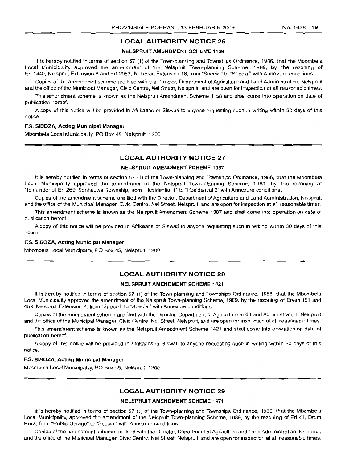# NELSPRUIT AMENDMENT SCHEME 1158

It is hereby notified in terms of section 57 (1) of the Town-planning and Townships Ordinance, 1986, that the Mbombela Local Municipality approved the amendment of the Nelspruit Town-planning Scheme, 1989, by the rezoning of Erf 1440, Nelspruit Extension 8 and Erf 2957, Nelspruit Extension 18, from "Special" to "Special" with Annexure conditions.

Copies of the amendment scheme are filed with the Director, Department of Agriculture and Land Administration, Nelspruit and the office of the Municipal Manager, Civic Centre, Nel Street, Nelspruit, and are open for inspection at all reasonable times.

This amendment scheme is known as the Nelspruit Amendment Scheme 1158 and shall come into operation on date of publication hereof.

A copy of this notice will be provided in Afrikaans or Siswati to anyone requesting such in writing within 30 days of this notice.

#### F.S. SIBOZA, Acting Municipal Manager

Mbombela Local Municipality, PO Box 45, Nelspruit, 1200

# LOCAL AUTHORITY NOTICE 27

### NELSPRUIT AMENDMENT SCHEME 1387

It is hereby notified in terms of section 57 (1) of the Town-planning and Townships Ordinance, 1986, that the Mbombela Local Municipality approved the amendment of the Nelspruit Town-planning Scheme, 1989, by the rezoning of Remainder of Erf 269, Sonheuwel Township, from "Residential 1" to "Residential 3" with Annexure conditions.

Copies of the amendment scheme are filed with the Director, Department of Agriculture and Land Administration, Nelspruit and the office of the Municipal Manager, Civic Centre, Nel Street, Nelspruit, and are open for inspection at all reasonable times.

This amendment scheme is known as the Nelspruit Amendment Scheme 1387 and shall come into operation on date of publication hereof.

A copy of this notice will be provided in Afrikaans or Siswati to anyone requesting such in writing within 30 days of this notice.

### F.S. SIBOZA, Acting Municipal Manager

Mbombela Local Municipality, PO Box 45, Nelspruit, 1200

# LOCAL AUTHORITY NOTICE 28

# NELSPRLlIT AMENDMENT SCHEME 1421

It is hereby notified in terms of section 57 (1) of the Town-planning and Townships Ordinance, 1986, that the Mbombela Local Municipality approved the amendment of the Nelspruit Town-planning Scheme, 1989, by the rezoning of Erven 451 and 453, Nelspruit Extension 2, from "Special" to "Special" with Annexure conditions.

Copies of the amendment scheme are filed with the Director, Department of Agriculture and Land Administration, Nelspruit and the office of the Municipal Manager, Civic Centre, Nel Street, Nelspruit, and are open for inspection at all reasonable times.

This amendment scheme is known as the Nelspruit Amendment Scheme 1421 and shall come into operation on date of publication hereof.

A copy of this notice will be provided in Afrikaans or Siswati to anyone requesting such in writing within 30 days of this notice.

#### F.S. SIBOZA, Acting Municipal Manager

Mbombela Local Municipality, PO Box 45, Nelspruit, 1200

# LOCAL AUTHORITY NOTICE 29

# NELSPRUIT AMENDMENT SCHEME 1471

It is hereby notified in terms of section 57 (1) of the Town-planning and Townships Ordinance, 1986, that the Mbombela Local Municipality, approved the amendment of the Nelspruit Town-planning Scheme, 1989, by the rezoning of Erf 41, Drum Rock, from "Public Garage" to "Special" with Annexure conditions.

Copies of the amendment scheme are filed with the Director, Department of Agriculture and Land Administration, Nelspruit, and the office of the Municipal Manager, Civic Centre, Nel Street, Nelspruit, and are open for inspection at all reasonable times.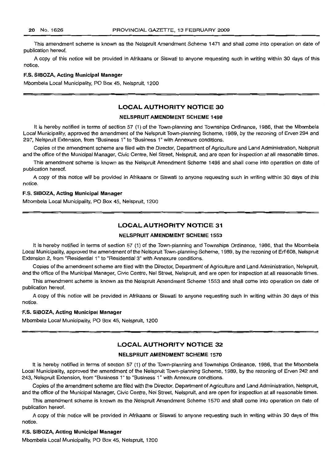This amendment scheme is known as the Nelspruit Amendment Scheme 1471 and shall come into operation on date of publication hereof.

A copy of this notice will be provided in Afrikaans or Siswati to anyone requesting such in writing within 30 days of this notice.

#### F.S. SIBOZA, Acting Municipal Manager

Mbombela Local Municipality, PO Box 45, Nelspruit, 1200

# LOCAL AUTHORITY NOTICE 30

# NELSPRUIT AMENDMENT SCHEME 1498

It is hereby notified in terms of section 57 (1) of the Town-planning and Townships Ordinance, 1986, that the Mbombela Local Municipality, approved the amendment of the Nelspruit Town-planning Scheme, 1989, by the rezoning of Erven 294 and 297, Nelspruit Extension, from "Business 1" to "Business 1" with Annexure conditions.

Copies of the amendment scheme are filed with the Director, Department of Agriculture and Land Administration, Nelspruit and the office of the Municipal Manager, Civic Centre, Nel Street, Nelspruit, and are open for inspection at all reasonable times.

This amendment scheme is known as the Nelspruit Amendment Scheme 1498 and shall come into operation on date of publication hereof.

A copy of this notice will be provided in Afrikaans or Siswati to anyone requesting such in writing within 30 days of this notice.

# F.S. SIBOZA, Acting Municipal Manager

Mbombela Local Municipality, PO Box 45, Nelspruit, 1200

# LOCAL AUTHORITY NOTICE 31

# NELSPRUIT AMENDMENT SCHEME 1553

It is hereby notified in terms of section 57 (1) of the Town-planning and Townships Ordinance, 1986, that the Mbombela Local Municipality, approved the amendment of the Nelspruit Town-planning Scheme, 1989, by the rezoning of Erf 608, Nelspruit Extension 2, from "Residential 1" to "Residential 3" with Annexure conditions.

Copies of the amendment scheme are filed with the Director, Department of Agriculture and Land Administration, Nelspruit, and the office of the Municipal Manager, Civic Centre, Nel Street, Nelspruit, and are open for inspection at all reasonable times.

This amendment scheme is known as the Nelspruit Amendment Scheme 1553 and shall come into operation on date of publication hereof.

A copy of this notice will be provided in Afrikaans or Siswati to anyone requesting such in writing within 30 days of this notice.

#### ES. SIBOZA, Acting Municipal Manager

Mbombela Local Municipality, PO Box 45, Nelspruit, 1200

# **LOCAL AUTHORITY NOTICE 32**

# NELSPRUIT AMENDMENT SCHEME 1570

It is hereby notified in terms of section 57 (1) of the Town-planning and Townships Ordinance, 1986, that the Mbombela Local Municipality, approved the amendment of the Nelspruit Town-planning Scheme, 1989, by the rezoning of Erven 242 and 243, Nelspruit Extension, from "Business 1" to "Business 1" with Annexure conditions. .

Copies of the amendment scheme are filed with the Director, Department of Agriculture and Land Administration, Nelspruit, and the office of the Municipal Manager, Civic Centre, Nel Street, Nelspruit, and are open for inspection at all reasonable times.

This amendment scheme is known as the Nelspruit Amendment Scheme 1570 and shall come into operation on date of publication hereof.

A copy of this notice will be provided in Afrikaans or Siswati to anyone requesting such in writing within 30 days of this notice.

# ES. SIBOZA, Acting Municipal Manager

Mbombela Local Municipality, PO Box 45, Nelspruit, 1200